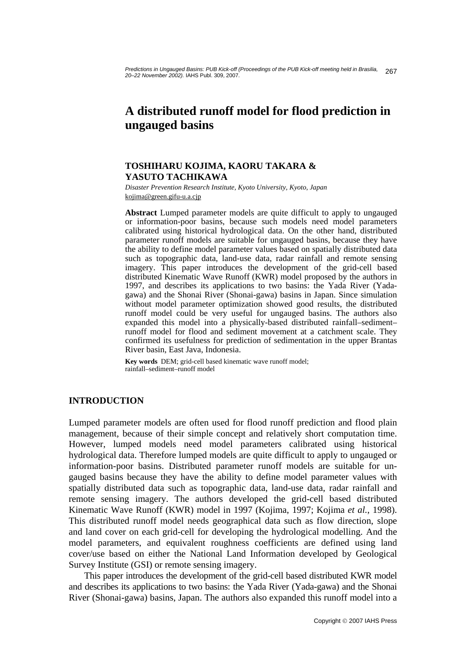# **A distributed runoff model for flood prediction in ungauged basins**

## **TOSHIHARU KOJIMA, KAORU TAKARA & YASUTO TACHIKAWA**

*Disaster Prevention Research Institute, Kyoto University, Kyoto, Japan*  kojima@green.gifu-u.a.cjp

**Abstract** Lumped parameter models are quite difficult to apply to ungauged or information-poor basins, because such models need model parameters calibrated using historical hydrological data. On the other hand, distributed parameter runoff models are suitable for ungauged basins, because they have the ability to define model parameter values based on spatially distributed data such as topographic data, land-use data, radar rainfall and remote sensing imagery. This paper introduces the development of the grid-cell based distributed Kinematic Wave Runoff (KWR) model proposed by the authors in 1997, and describes its applications to two basins: the Yada River (Yadagawa) and the Shonai River (Shonai-gawa) basins in Japan. Since simulation without model parameter optimization showed good results, the distributed runoff model could be very useful for ungauged basins. The authors also expanded this model into a physically-based distributed rainfall–sediment– runoff model for flood and sediment movement at a catchment scale. They confirmed its usefulness for prediction of sedimentation in the upper Brantas River basin, East Java, Indonesia.

**Key words** DEM; grid-cell based kinematic wave runoff model; rainfall–sediment–runoff model

# **INTRODUCTION**

Lumped parameter models are often used for flood runoff prediction and flood plain management, because of their simple concept and relatively short computation time. However, lumped models need model parameters calibrated using historical hydrological data. Therefore lumped models are quite difficult to apply to ungauged or information-poor basins. Distributed parameter runoff models are suitable for ungauged basins because they have the ability to define model parameter values with spatially distributed data such as topographic data, land-use data, radar rainfall and remote sensing imagery. The authors developed the grid-cell based distributed Kinematic Wave Runoff (KWR) model in 1997 (Kojima, 1997; Kojima *et al.*, 1998). This distributed runoff model needs geographical data such as flow direction, slope and land cover on each grid-cell for developing the hydrological modelling. And the model parameters, and equivalent roughness coefficients are defined using land cover/use based on either the National Land Information developed by Geological Survey Institute (GSI) or remote sensing imagery.

 This paper introduces the development of the grid-cell based distributed KWR model and describes its applications to two basins: the Yada River (Yada-gawa) and the Shonai River (Shonai-gawa) basins, Japan. The authors also expanded this runoff model into a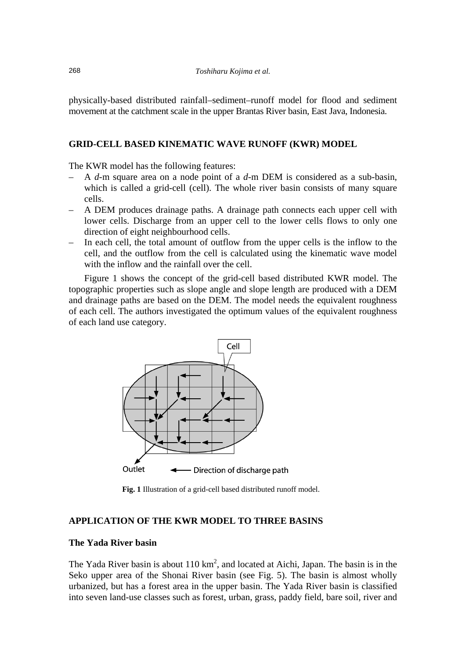physically-based distributed rainfall–sediment–runoff model for flood and sediment movement at the catchment scale in the upper Brantas River basin, East Java, Indonesia.

## **GRID-CELL BASED KINEMATIC WAVE RUNOFF (KWR) MODEL**

The KWR model has the following features:

- A *d*-m square area on a node point of a *d*-m DEM is considered as a sub-basin, which is called a grid-cell (cell). The whole river basin consists of many square cells.
- A DEM produces drainage paths. A drainage path connects each upper cell with lower cells. Discharge from an upper cell to the lower cells flows to only one direction of eight neighbourhood cells.
- In each cell, the total amount of outflow from the upper cells is the inflow to the cell, and the outflow from the cell is calculated using the kinematic wave model with the inflow and the rainfall over the cell.

 Figure 1 shows the concept of the grid-cell based distributed KWR model. The topographic properties such as slope angle and slope length are produced with a DEM and drainage paths are based on the DEM. The model needs the equivalent roughness of each cell. The authors investigated the optimum values of the equivalent roughness of each land use category.



**Fig. 1** Illustration of a grid-cell based distributed runoff model.

## **APPLICATION OF THE KWR MODEL TO THREE BASINS**

## **The Yada River basin**

The Yada River basin is about  $110 \text{ km}^2$ , and located at Aichi, Japan. The basin is in the Seko upper area of the Shonai River basin (see Fig. 5). The basin is almost wholly urbanized, but has a forest area in the upper basin. The Yada River basin is classified into seven land-use classes such as forest, urban, grass, paddy field, bare soil, river and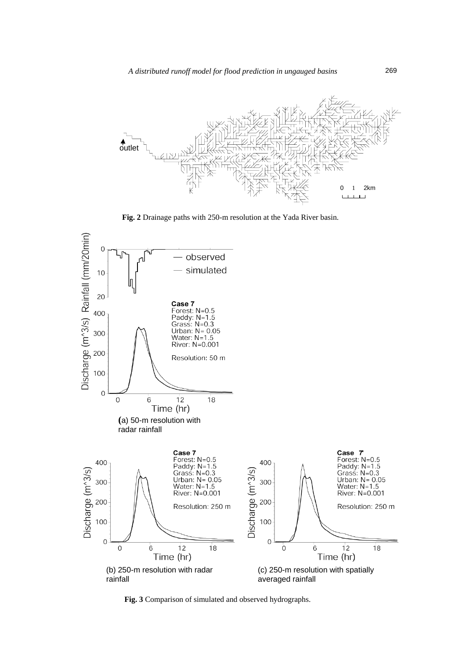

**Fig. 2** Drainage paths with 250-m resolution at the Yada River basin.



 **Fig. 3** Comparison of simulated and observed hydrographs.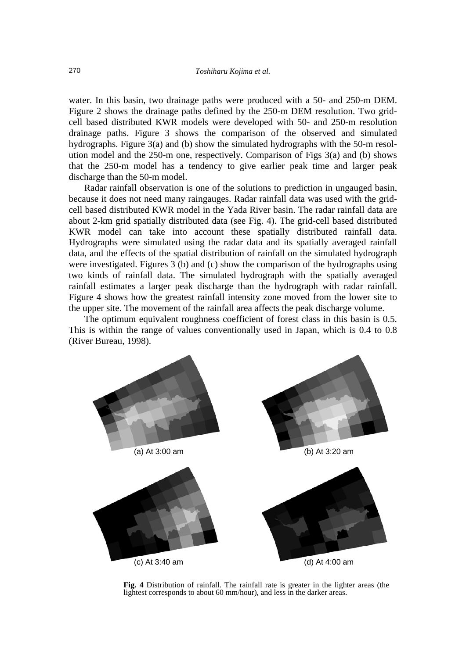water. In this basin, two drainage paths were produced with a 50- and 250-m DEM. Figure 2 shows the drainage paths defined by the 250-m DEM resolution. Two gridcell based distributed KWR models were developed with 50- and 250-m resolution drainage paths. Figure 3 shows the comparison of the observed and simulated hydrographs. Figure 3(a) and (b) show the simulated hydrographs with the 50-m resolution model and the 250-m one, respectively. Comparison of Figs 3(a) and (b) shows that the 250-m model has a tendency to give earlier peak time and larger peak discharge than the 50-m model.

 Radar rainfall observation is one of the solutions to prediction in ungauged basin, because it does not need many raingauges. Radar rainfall data was used with the gridcell based distributed KWR model in the Yada River basin. The radar rainfall data are about 2-km grid spatially distributed data (see Fig. 4). The grid-cell based distributed KWR model can take into account these spatially distributed rainfall data. Hydrographs were simulated using the radar data and its spatially averaged rainfall data, and the effects of the spatial distribution of rainfall on the simulated hydrograph were investigated. Figures 3 (b) and (c) show the comparison of the hydrographs using two kinds of rainfall data. The simulated hydrograph with the spatially averaged rainfall estimates a larger peak discharge than the hydrograph with radar rainfall. Figure 4 shows how the greatest rainfall intensity zone moved from the lower site to the upper site. The movement of the rainfall area affects the peak discharge volume.

 The optimum equivalent roughness coefficient of forest class in this basin is 0.5. This is within the range of values conventionally used in Japan, which is 0.4 to 0.8 (River Bureau, 1998).



**Fig. 4** Distribution of rainfall. The rainfall rate is greater in the lighter areas (the lightest corresponds to about 60 mm/hour), and less in the darker areas.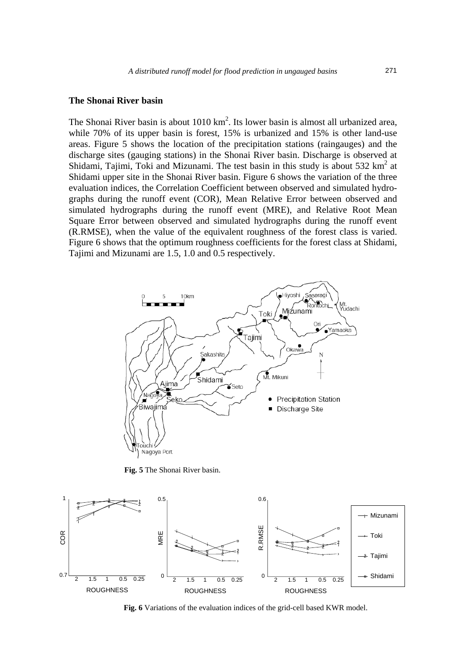#### **The Shonai River basin**

The Shonai River basin is about  $1010 \text{ km}^2$ . Its lower basin is almost all urbanized area, while 70% of its upper basin is forest, 15% is urbanized and 15% is other land-use areas. Figure 5 shows the location of the precipitation stations (raingauges) and the discharge sites (gauging stations) in the Shonai River basin. Discharge is observed at Shidami, Tajimi, Toki and Mizunami. The test basin in this study is about 532  $\text{km}^2$  at Shidami upper site in the Shonai River basin. Figure 6 shows the variation of the three evaluation indices, the Correlation Coefficient between observed and simulated hydrographs during the runoff event (COR), Mean Relative Error between observed and simulated hydrographs during the runoff event (MRE), and Relative Root Mean Square Error between observed and simulated hydrographs during the runoff event (R.RMSE), when the value of the equivalent roughness of the forest class is varied. Figure 6 shows that the optimum roughness coefficients for the forest class at Shidami, Tajimi and Mizunami are 1.5, 1.0 and 0.5 respectively.



 **Fig. 5** The Shonai River basin.



 **Fig. 6** Variations of the evaluation indices of the grid-cell based KWR model.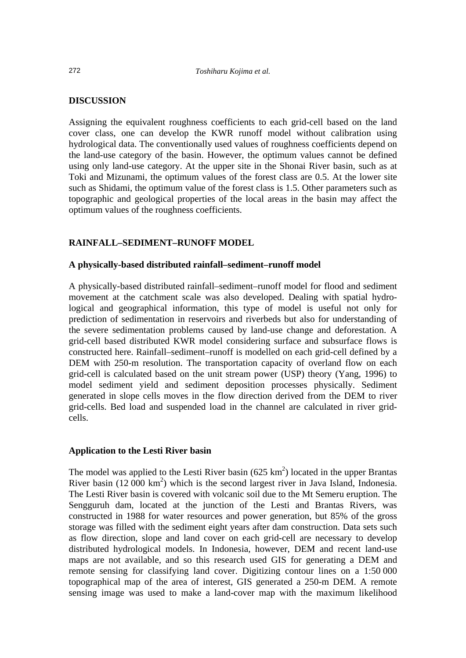#### **DISCUSSION**

Assigning the equivalent roughness coefficients to each grid-cell based on the land cover class, one can develop the KWR runoff model without calibration using hydrological data. The conventionally used values of roughness coefficients depend on the land-use category of the basin. However, the optimum values cannot be defined using only land-use category. At the upper site in the Shonai River basin, such as at Toki and Mizunami, the optimum values of the forest class are 0.5. At the lower site such as Shidami, the optimum value of the forest class is 1.5. Other parameters such as topographic and geological properties of the local areas in the basin may affect the optimum values of the roughness coefficients.

# **RAINFALL–SEDIMENT–RUNOFF MODEL**

## **A physically-based distributed rainfall–sediment–runoff model**

A physically-based distributed rainfall–sediment–runoff model for flood and sediment movement at the catchment scale was also developed. Dealing with spatial hydrological and geographical information, this type of model is useful not only for prediction of sedimentation in reservoirs and riverbeds but also for understanding of the severe sedimentation problems caused by land-use change and deforestation. A grid-cell based distributed KWR model considering surface and subsurface flows is constructed here. Rainfall–sediment–runoff is modelled on each grid-cell defined by a DEM with 250-m resolution. The transportation capacity of overland flow on each grid-cell is calculated based on the unit stream power (USP) theory (Yang, 1996) to model sediment yield and sediment deposition processes physically. Sediment generated in slope cells moves in the flow direction derived from the DEM to river grid-cells. Bed load and suspended load in the channel are calculated in river gridcells.

# **Application to the Lesti River basin**

The model was applied to the Lesti River basin  $(625 \text{ km}^2)$  located in the upper Brantas River basin  $(12000 \text{ km}^2)$  which is the second largest river in Java Island, Indonesia. The Lesti River basin is covered with volcanic soil due to the Mt Semeru eruption. The Sengguruh dam, located at the junction of the Lesti and Brantas Rivers, was constructed in 1988 for water resources and power generation, but 85% of the gross storage was filled with the sediment eight years after dam construction. Data sets such as flow direction, slope and land cover on each grid-cell are necessary to develop distributed hydrological models. In Indonesia, however, DEM and recent land-use maps are not available, and so this research used GIS for generating a DEM and remote sensing for classifying land cover. Digitizing contour lines on a 1:50 000 topographical map of the area of interest, GIS generated a 250-m DEM. A remote sensing image was used to make a land-cover map with the maximum likelihood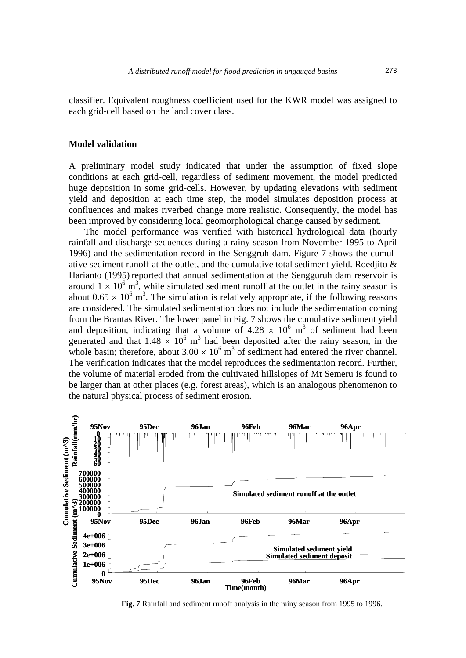classifier. Equivalent roughness coefficient used for the KWR model was assigned to each grid-cell based on the land cover class.

#### **Model validation**

A preliminary model study indicated that under the assumption of fixed slope conditions at each grid-cell, regardless of sediment movement, the model predicted huge deposition in some grid-cells. However, by updating elevations with sediment yield and deposition at each time step, the model simulates deposition process at confluences and makes riverbed change more realistic. Consequently, the model has been improved by considering local geomorphological change caused by sediment.

 The model performance was verified with historical hydrological data (hourly rainfall and discharge sequences during a rainy season from November 1995 to April 1996) and the sedimentation record in the Senggruh dam. Figure 7 shows the cumulative sediment runoff at the outlet, and the cumulative total sediment yield. Roedjito & Harianto (1995) reported that annual sedimentation at the Sengguruh dam reservoir is around  $1 \times 10^6$  m<sup>3</sup>, while simulated sediment runoff at the outlet in the rainy season is about  $0.65 \times 10^6$  m<sup>3</sup>. The simulation is relatively appropriate, if the following reasons are considered. The simulated sedimentation does not include the sedimentation coming from the Brantas River. The lower panel in Fig. 7 shows the cumulative sediment yield and deposition, indicating that a volume of  $4.28 \times 10^6$  m<sup>3</sup> of sediment had been generated and that  $1.48 \times 10^6$  m<sup>3</sup> had been deposited after the rainy season, in the whole basin; therefore, about  $3.00 \times 10^6$  m<sup>3</sup> of sediment had entered the river channel. The verification indicates that the model reproduces the sedimentation record. Further, the volume of material eroded from the cultivated hillslopes of Mt Semeru is found to be larger than at other places (e.g. forest areas), which is an analogous phenomenon to the natural physical process of sediment erosion.